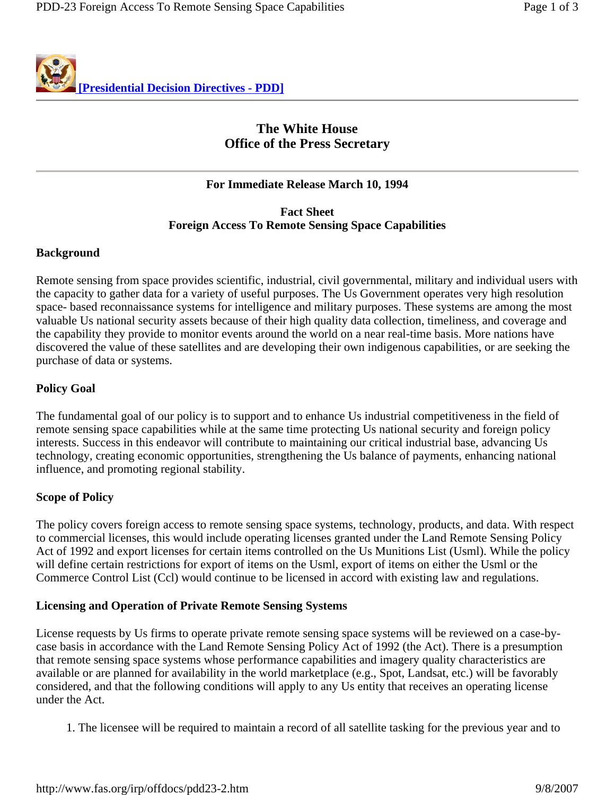

# **The White House Office of the Press Secretary**

# **For Immediate Release March 10, 1994**

# **Fact Sheet Foreign Access To Remote Sensing Space Capabilities**

## **Background**

Remote sensing from space provides scientific, industrial, civil governmental, military and individual users with the capacity to gather data for a variety of useful purposes. The Us Government operates very high resolution space- based reconnaissance systems for intelligence and military purposes. These systems are among the most valuable Us national security assets because of their high quality data collection, timeliness, and coverage and the capability they provide to monitor events around the world on a near real-time basis. More nations have discovered the value of these satellites and are developing their own indigenous capabilities, or are seeking the purchase of data or systems.

## **Policy Goal**

The fundamental goal of our policy is to support and to enhance Us industrial competitiveness in the field of remote sensing space capabilities while at the same time protecting Us national security and foreign policy interests. Success in this endeavor will contribute to maintaining our critical industrial base, advancing Us technology, creating economic opportunities, strengthening the Us balance of payments, enhancing national influence, and promoting regional stability.

#### **Scope of Policy**

The policy covers foreign access to remote sensing space systems, technology, products, and data. With respect to commercial licenses, this would include operating licenses granted under the Land Remote Sensing Policy Act of 1992 and export licenses for certain items controlled on the Us Munitions List (Usml). While the policy will define certain restrictions for export of items on the Usml, export of items on either the Usml or the Commerce Control List (Ccl) would continue to be licensed in accord with existing law and regulations.

#### **Licensing and Operation of Private Remote Sensing Systems**

License requests by Us firms to operate private remote sensing space systems will be reviewed on a case-bycase basis in accordance with the Land Remote Sensing Policy Act of 1992 (the Act). There is a presumption that remote sensing space systems whose performance capabilities and imagery quality characteristics are available or are planned for availability in the world marketplace (e.g., Spot, Landsat, etc.) will be favorably considered, and that the following conditions will apply to any Us entity that receives an operating license under the Act.

1. The licensee will be required to maintain a record of all satellite tasking for the previous year and to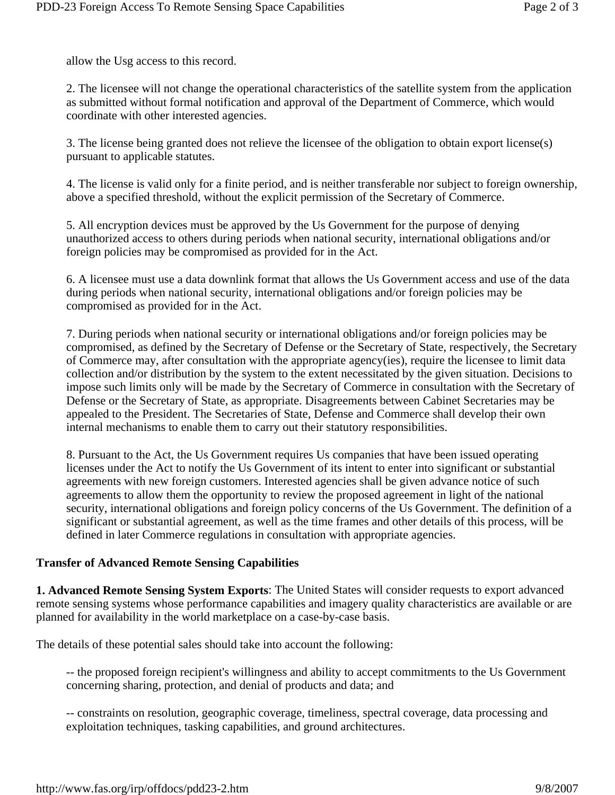allow the Usg access to this record.

2. The licensee will not change the operational characteristics of the satellite system from the application as submitted without formal notification and approval of the Department of Commerce, which would coordinate with other interested agencies.

3. The license being granted does not relieve the licensee of the obligation to obtain export license(s) pursuant to applicable statutes.

4. The license is valid only for a finite period, and is neither transferable nor subject to foreign ownership, above a specified threshold, without the explicit permission of the Secretary of Commerce.

5. All encryption devices must be approved by the Us Government for the purpose of denying unauthorized access to others during periods when national security, international obligations and/or foreign policies may be compromised as provided for in the Act.

6. A licensee must use a data downlink format that allows the Us Government access and use of the data during periods when national security, international obligations and/or foreign policies may be compromised as provided for in the Act.

7. During periods when national security or international obligations and/or foreign policies may be compromised, as defined by the Secretary of Defense or the Secretary of State, respectively, the Secretary of Commerce may, after consultation with the appropriate agency(ies), require the licensee to limit data collection and/or distribution by the system to the extent necessitated by the given situation. Decisions to impose such limits only will be made by the Secretary of Commerce in consultation with the Secretary of Defense or the Secretary of State, as appropriate. Disagreements between Cabinet Secretaries may be appealed to the President. The Secretaries of State, Defense and Commerce shall develop their own internal mechanisms to enable them to carry out their statutory responsibilities.

8. Pursuant to the Act, the Us Government requires Us companies that have been issued operating licenses under the Act to notify the Us Government of its intent to enter into significant or substantial agreements with new foreign customers. Interested agencies shall be given advance notice of such agreements to allow them the opportunity to review the proposed agreement in light of the national security, international obligations and foreign policy concerns of the Us Government. The definition of a significant or substantial agreement, as well as the time frames and other details of this process, will be defined in later Commerce regulations in consultation with appropriate agencies.

#### **Transfer of Advanced Remote Sensing Capabilities**

**1. Advanced Remote Sensing System Exports**: The United States will consider requests to export advanced remote sensing systems whose performance capabilities and imagery quality characteristics are available or are planned for availability in the world marketplace on a case-by-case basis.

The details of these potential sales should take into account the following:

-- the proposed foreign recipient's willingness and ability to accept commitments to the Us Government concerning sharing, protection, and denial of products and data; and

-- constraints on resolution, geographic coverage, timeliness, spectral coverage, data processing and exploitation techniques, tasking capabilities, and ground architectures.